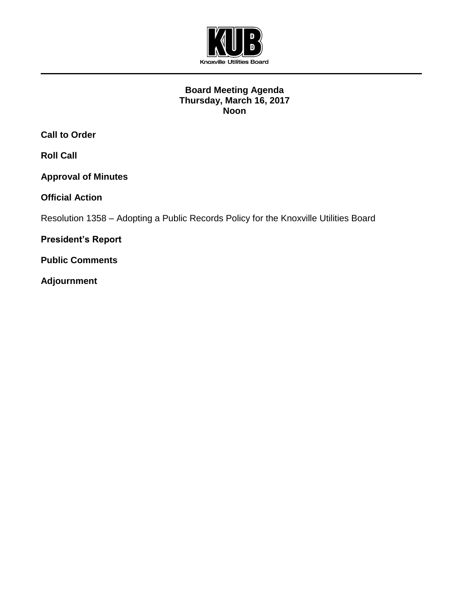

## **Board Meeting Agenda Thursday, March 16, 2017 Noon**

**Call to Order**

**Roll Call**

**Approval of Minutes**

**Official Action** 

Resolution 1358 – Adopting a Public Records Policy for the Knoxville Utilities Board

**President's Report**

**Public Comments**

**Adjournment**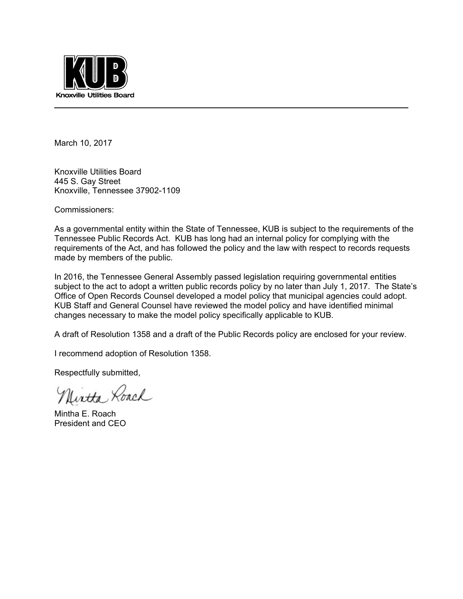

March 10, 2017

Knoxville Utilities Board 445 S. Gay Street Knoxville, Tennessee 37902-1109

Commissioners:

As a governmental entity within the State of Tennessee, KUB is subject to the requirements of the Tennessee Public Records Act. KUB has long had an internal policy for complying with the requirements of the Act, and has followed the policy and the law with respect to records requests made by members of the public.

In 2016, the Tennessee General Assembly passed legislation requiring governmental entities subject to the act to adopt a written public records policy by no later than July 1, 2017. The State's Office of Open Records Counsel developed a model policy that municipal agencies could adopt. KUB Staff and General Counsel have reviewed the model policy and have identified minimal changes necessary to make the model policy specifically applicable to KUB.

A draft of Resolution 1358 and a draft of the Public Records policy are enclosed for your review.

I recommend adoption of Resolution 1358.

Respectfully submitted,

Uirtta Roach

Mintha E. Roach President and CEO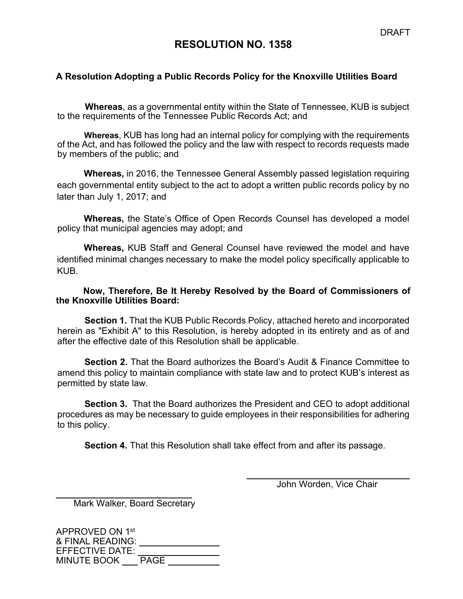# **RESOLUTION NO. 1358**

## **A Resolution Adopting a Public Records Policy for the Knoxville Utilities Board**

**Whereas**, as a governmental entity within the State of Tennessee, KUB is subject to the requirements of the Tennessee Public Records Act; and

**Whereas**, KUB has long had an internal policy for complying with the requirements of the Act, and has followed the policy and the law with respect to records requests made by members of the public; and

**Whereas,** in 2016, the Tennessee General Assembly passed legislation requiring each governmental entity subject to the act to adopt a written public records policy by no later than July 1, 2017; and

**Whereas,** the State's Office of Open Records Counsel has developed a model policy that municipal agencies may adopt; and

**Whereas,** KUB Staff and General Counsel have reviewed the model and have identified minimal changes necessary to make the model policy specifically applicable to KUB.

#### **Now, Therefore, Be It Hereby Resolved by the Board of Commissioners of the Knoxville Utilities Board:**

**Section 1.** That the KUB Public Records Policy, attached hereto and incorporated herein as "Exhibit A" to this Resolution, is hereby adopted in its entirety and as of and after the effective date of this Resolution shall be applicable.

**Section 2.** That the Board authorizes the Board's Audit & Finance Committee to amend this policy to maintain compliance with state law and to protect KUB's interest as permitted by state law.

**Section 3.** That the Board authorizes the President and CEO to adopt additional procedures as may be necessary to guide employees in their responsibilities for adhering to this policy.

**Section 4.** That this Resolution shall take effect from and after its passage.

 $\overline{a}$ 

John Worden, Vice Chair

Mark Walker, Board Secretary

 $\overline{a}$ 

| APPROVED ON 1st        |             |
|------------------------|-------------|
| & FINAL READING:       |             |
| <b>EFFECTIVE DATE:</b> |             |
| <b>MINUTE BOOK</b>     | <b>PAGE</b> |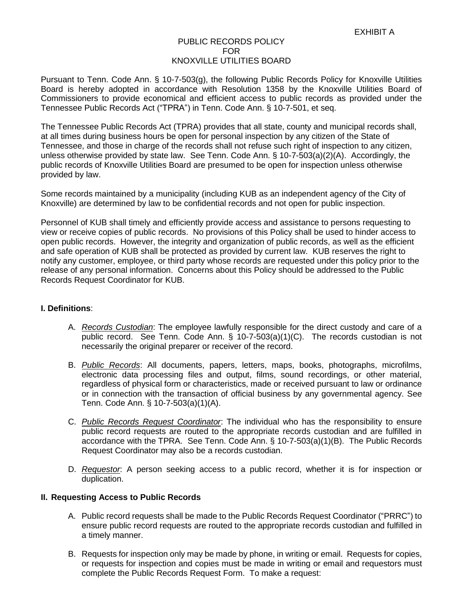#### PUBLIC RECORDS POLICY FOR KNOXVILLE UTILITIES BOARD

Pursuant to Tenn. Code Ann. § 10-7-503(g), the following Public Records Policy for Knoxville Utilities Board is hereby adopted in accordance with Resolution 1358 by the Knoxville Utilities Board of Commissioners to provide economical and efficient access to public records as provided under the Tennessee Public Records Act ("TPRA") in Tenn. Code Ann. § 10-7-501, et seq.

The Tennessee Public Records Act (TPRA) provides that all state, county and municipal records shall, at all times during business hours be open for personal inspection by any citizen of the State of Tennessee, and those in charge of the records shall not refuse such right of inspection to any citizen, unless otherwise provided by state law. See Tenn. Code Ann. § 10-7-503(a)(2)(A). Accordingly, the public records of Knoxville Utilities Board are presumed to be open for inspection unless otherwise provided by law.

Some records maintained by a municipality (including KUB as an independent agency of the City of Knoxville) are determined by law to be confidential records and not open for public inspection.

Personnel of KUB shall timely and efficiently provide access and assistance to persons requesting to view or receive copies of public records. No provisions of this Policy shall be used to hinder access to open public records. However, the integrity and organization of public records, as well as the efficient and safe operation of KUB shall be protected as provided by current law. KUB reserves the right to notify any customer, employee, or third party whose records are requested under this policy prior to the release of any personal information. Concerns about this Policy should be addressed to the Public Records Request Coordinator for KUB.

#### **I. Definitions**:

- A. *Records Custodian*: The employee lawfully responsible for the direct custody and care of a public record. See Tenn. Code Ann. § 10-7-503(a)(1)(C). The records custodian is not necessarily the original preparer or receiver of the record.
- B. *Public Records*: All documents, papers, letters, maps, books, photographs, microfilms, electronic data processing files and output, films, sound recordings, or other material, regardless of physical form or characteristics, made or received pursuant to law or ordinance or in connection with the transaction of official business by any governmental agency. See Tenn. Code Ann. § 10-7-503(a)(1)(A).
- C. *Public Records Request Coordinator*: The individual who has the responsibility to ensure public record requests are routed to the appropriate records custodian and are fulfilled in accordance with the TPRA. See Tenn. Code Ann. § 10-7-503(a)(1)(B). The Public Records Request Coordinator may also be a records custodian.
- D. *Requestor*: A person seeking access to a public record, whether it is for inspection or duplication.

#### **II. Requesting Access to Public Records**

- A. Public record requests shall be made to the Public Records Request Coordinator ("PRRC") to ensure public record requests are routed to the appropriate records custodian and fulfilled in a timely manner.
- B. Requests for inspection only may be made by phone, in writing or email. Requests for copies, or requests for inspection and copies must be made in writing or email and requestors must complete the Public Records Request Form. To make a request: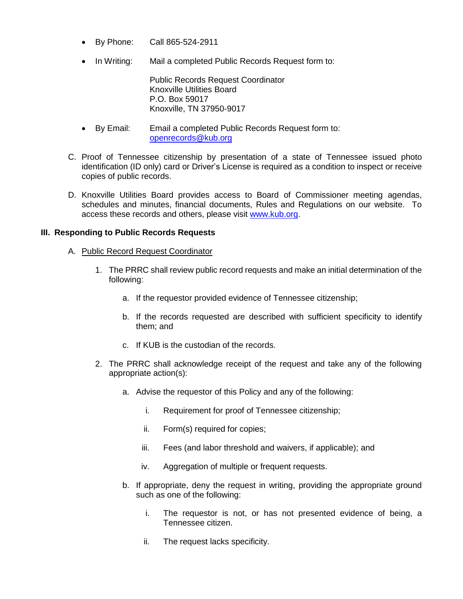- By Phone: Call 865-524-2911
- In Writing: Mail a completed Public Records Request form to:

Public Records Request Coordinator Knoxville Utilities Board P.O. Box 59017 Knoxville, TN 37950-9017

- By Email: Email a completed Public Records Request form to: [openrecords@kub.org](mailto:openrecords@kub.org)
- C. Proof of Tennessee citizenship by presentation of a state of Tennessee issued photo identification (ID only) card or Driver's License is required as a condition to inspect or receive copies of public records.
- D. Knoxville Utilities Board provides access to Board of Commissioner meeting agendas, schedules and minutes, financial documents, Rules and Regulations on our website. To access these records and others, please visit [www.kub.org.](http://www.kub.org/)

#### **III. Responding to Public Records Requests**

#### A. Public Record Request Coordinator

- 1. The PRRC shall review public record requests and make an initial determination of the following:
	- a. If the requestor provided evidence of Tennessee citizenship;
	- b. If the records requested are described with sufficient specificity to identify them; and
	- c. If KUB is the custodian of the records.
- 2. The PRRC shall acknowledge receipt of the request and take any of the following appropriate action(s):
	- a. Advise the requestor of this Policy and any of the following:
		- i. Requirement for proof of Tennessee citizenship;
		- ii. Form(s) required for copies;
		- iii. Fees (and labor threshold and waivers, if applicable); and
		- iv. Aggregation of multiple or frequent requests.
	- b. If appropriate, deny the request in writing, providing the appropriate ground such as one of the following:
		- i. The requestor is not, or has not presented evidence of being, a Tennessee citizen.
		- ii. The request lacks specificity.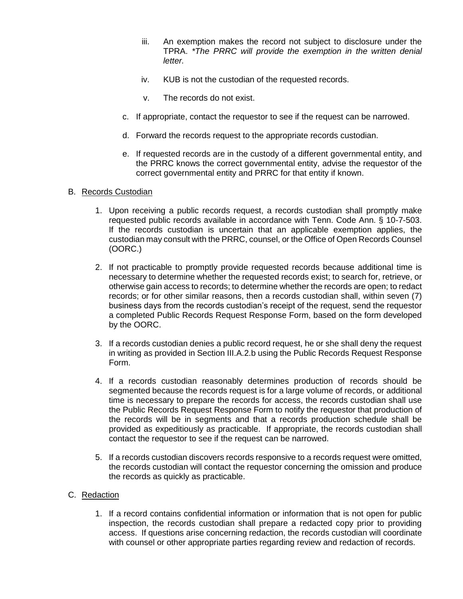- iii. An exemption makes the record not subject to disclosure under the TPRA. *\*The PRRC will provide the exemption in the written denial letter.*
- iv. KUB is not the custodian of the requested records.
- v. The records do not exist.
- c. If appropriate, contact the requestor to see if the request can be narrowed.
- d. Forward the records request to the appropriate records custodian.
- e. If requested records are in the custody of a different governmental entity, and the PRRC knows the correct governmental entity, advise the requestor of the correct governmental entity and PRRC for that entity if known.

#### B. Records Custodian

- 1. Upon receiving a public records request, a records custodian shall promptly make requested public records available in accordance with Tenn. Code Ann. § 10-7-503. If the records custodian is uncertain that an applicable exemption applies, the custodian may consult with the PRRC, counsel, or the Office of Open Records Counsel (OORC.)
- 2. If not practicable to promptly provide requested records because additional time is necessary to determine whether the requested records exist; to search for, retrieve, or otherwise gain access to records; to determine whether the records are open; to redact records; or for other similar reasons, then a records custodian shall, within seven (7) business days from the records custodian's receipt of the request, send the requestor a completed Public Records Request Response Form, based on the form developed by the OORC.
- 3. If a records custodian denies a public record request, he or she shall deny the request in writing as provided in Section III.A.2.b using the Public Records Request Response Form.
- 4. If a records custodian reasonably determines production of records should be segmented because the records request is for a large volume of records, or additional time is necessary to prepare the records for access, the records custodian shall use the Public Records Request Response Form to notify the requestor that production of the records will be in segments and that a records production schedule shall be provided as expeditiously as practicable. If appropriate, the records custodian shall contact the requestor to see if the request can be narrowed.
- 5. If a records custodian discovers records responsive to a records request were omitted, the records custodian will contact the requestor concerning the omission and produce the records as quickly as practicable.

#### C. Redaction

1. If a record contains confidential information or information that is not open for public inspection, the records custodian shall prepare a redacted copy prior to providing access. If questions arise concerning redaction, the records custodian will coordinate with counsel or other appropriate parties regarding review and redaction of records.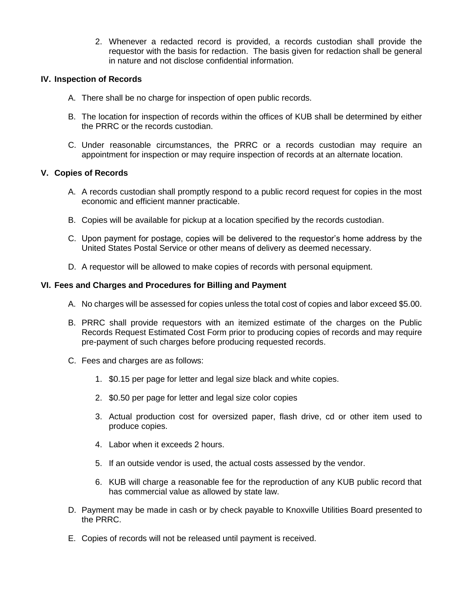2. Whenever a redacted record is provided, a records custodian shall provide the requestor with the basis for redaction. The basis given for redaction shall be general in nature and not disclose confidential information.

#### **IV. Inspection of Records**

- A. There shall be no charge for inspection of open public records.
- B. The location for inspection of records within the offices of KUB shall be determined by either the PRRC or the records custodian.
- C. Under reasonable circumstances, the PRRC or a records custodian may require an appointment for inspection or may require inspection of records at an alternate location.

#### **V. Copies of Records**

- A. A records custodian shall promptly respond to a public record request for copies in the most economic and efficient manner practicable.
- B. Copies will be available for pickup at a location specified by the records custodian.
- C. Upon payment for postage, copies will be delivered to the requestor's home address by the United States Postal Service or other means of delivery as deemed necessary.
- D. A requestor will be allowed to make copies of records with personal equipment.

#### **VI. Fees and Charges and Procedures for Billing and Payment**

- A. No charges will be assessed for copies unless the total cost of copies and labor exceed \$5.00.
- B. PRRC shall provide requestors with an itemized estimate of the charges on the Public Records Request Estimated Cost Form prior to producing copies of records and may require pre-payment of such charges before producing requested records.
- C. Fees and charges are as follows:
	- 1. \$0.15 per page for letter and legal size black and white copies.
	- 2. \$0.50 per page for letter and legal size color copies
	- 3. Actual production cost for oversized paper, flash drive, cd or other item used to produce copies.
	- 4. Labor when it exceeds 2 hours.
	- 5. If an outside vendor is used, the actual costs assessed by the vendor.
	- 6. KUB will charge a reasonable fee for the reproduction of any KUB public record that has commercial value as allowed by state law.
- D. Payment may be made in cash or by check payable to Knoxville Utilities Board presented to the PRRC.
- E. Copies of records will not be released until payment is received.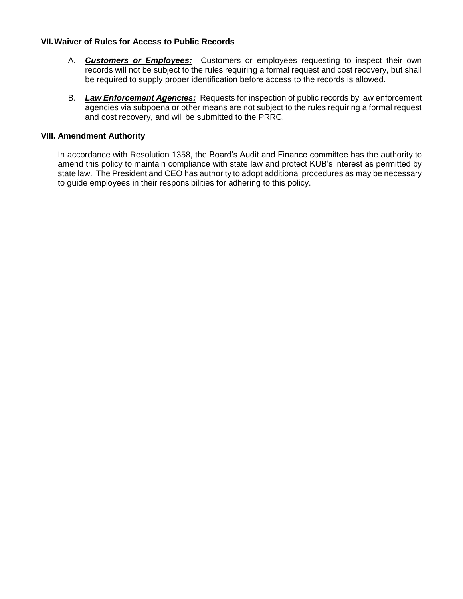#### **VII.Waiver of Rules for Access to Public Records**

- A. *Customers or Employees:* Customers or employees requesting to inspect their own records will not be subject to the rules requiring a formal request and cost recovery, but shall be required to supply proper identification before access to the records is allowed.
- B. *Law Enforcement Agencies:* Requests for inspection of public records by law enforcement agencies via subpoena or other means are not subject to the rules requiring a formal request and cost recovery, and will be submitted to the PRRC.

#### **VIII. Amendment Authority**

In accordance with Resolution 1358, the Board's Audit and Finance committee has the authority to amend this policy to maintain compliance with state law and protect KUB's interest as permitted by state law. The President and CEO has authority to adopt additional procedures as may be necessary to guide employees in their responsibilities for adhering to this policy.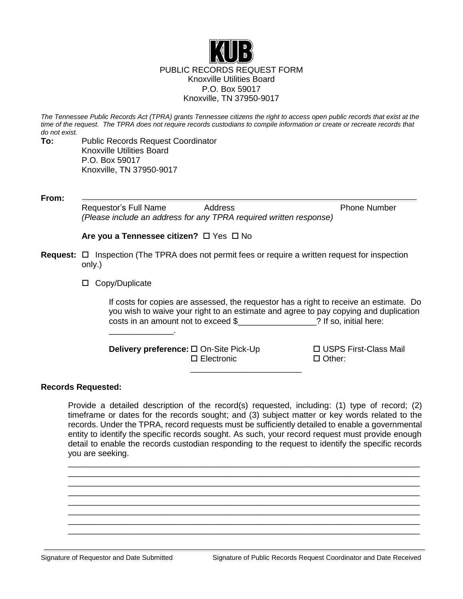

*The Tennessee Public Records Act (TPRA) grants Tennessee citizens the right to access open public records that exist at the time of the request. The TPRA does not require records custodians to compile information or create or recreate records that do not exist.*

**To:** Public Records Request Coordinator Knoxville Utilities Board P.O. Box 59017 Knoxville, TN 37950-9017

**From:**

Requestor's Full Name Address **Phone Number** Phone Number *(Please include an address for any TPRA required written response)*

**Are you a Tennessee citizen?** □ Yes □ No

- **Request:** □ Inspection (The TPRA does not permit fees or require a written request for inspection only.)
	- □ Copy/Duplicate

\_\_\_\_\_\_\_\_\_\_\_\_\_\_.

If costs for copies are assessed, the requestor has a right to receive an estimate. Do you wish to waive your right to an estimate and agree to pay copying and duplication costs in an amount not to exceed \$<br>
<br>
2 If so, initial here:

**Delivery preference:** □ On-Site Pick-Up USPS First-Class Mail Electronic Other:

#### **Records Requested:**

Provide a detailed description of the record(s) requested, including: (1) type of record; (2) timeframe or dates for the records sought; and (3) subject matter or key words related to the records. Under the TPRA, record requests must be sufficiently detailed to enable a governmental entity to identify the specific records sought. As such, your record request must provide enough detail to enable the records custodian responding to the request to identify the specific records you are seeking.

\_\_\_\_\_\_\_\_\_\_\_\_\_\_\_\_\_\_\_\_\_\_\_\_\_\_\_\_\_\_\_\_\_\_\_\_\_\_\_\_\_\_\_\_\_\_\_\_\_\_\_\_\_\_\_\_\_\_\_\_\_\_\_\_\_\_\_\_\_\_\_\_\_\_\_\_ \_\_\_\_\_\_\_\_\_\_\_\_\_\_\_\_\_\_\_\_\_\_\_\_\_\_\_\_\_\_\_\_\_\_\_\_\_\_\_\_\_\_\_\_\_\_\_\_\_\_\_\_\_\_\_\_\_\_\_\_\_\_\_\_\_\_\_\_\_\_\_\_\_\_\_\_ \_\_\_\_\_\_\_\_\_\_\_\_\_\_\_\_\_\_\_\_\_\_\_\_\_\_\_\_\_\_\_\_\_\_\_\_\_\_\_\_\_\_\_\_\_\_\_\_\_\_\_\_\_\_\_\_\_\_\_\_\_\_\_\_\_\_\_\_\_\_\_\_\_\_\_\_ \_\_\_\_\_\_\_\_\_\_\_\_\_\_\_\_\_\_\_\_\_\_\_\_\_\_\_\_\_\_\_\_\_\_\_\_\_\_\_\_\_\_\_\_\_\_\_\_\_\_\_\_\_\_\_\_\_\_\_\_\_\_\_\_\_\_\_\_\_\_\_\_\_\_\_\_ \_\_\_\_\_\_\_\_\_\_\_\_\_\_\_\_\_\_\_\_\_\_\_\_\_\_\_\_\_\_\_\_\_\_\_\_\_\_\_\_\_\_\_\_\_\_\_\_\_\_\_\_\_\_\_\_\_\_\_\_\_\_\_\_\_\_\_\_\_\_\_\_\_\_\_\_ \_\_\_\_\_\_\_\_\_\_\_\_\_\_\_\_\_\_\_\_\_\_\_\_\_\_\_\_\_\_\_\_\_\_\_\_\_\_\_\_\_\_\_\_\_\_\_\_\_\_\_\_\_\_\_\_\_\_\_\_\_\_\_\_\_\_\_\_\_\_\_\_\_\_\_\_ \_\_\_\_\_\_\_\_\_\_\_\_\_\_\_\_\_\_\_\_\_\_\_\_\_\_\_\_\_\_\_\_\_\_\_\_\_\_\_\_\_\_\_\_\_\_\_\_\_\_\_\_\_\_\_\_\_\_\_\_\_\_\_\_\_\_\_\_\_\_\_\_\_\_\_\_ \_\_\_\_\_\_\_\_\_\_\_\_\_\_\_\_\_\_\_\_\_\_\_\_\_\_\_\_\_\_\_\_\_\_\_\_\_\_\_\_\_\_\_\_\_\_\_\_\_\_\_\_\_\_\_\_\_\_\_\_\_\_\_\_\_\_\_\_\_\_\_\_\_\_\_\_

\_\_\_\_\_\_\_\_\_\_\_\_\_\_\_\_\_\_\_\_\_\_\_\_

Signature of Requestor and Date Submitted Signature of Public Records Request Coordinator and Date Received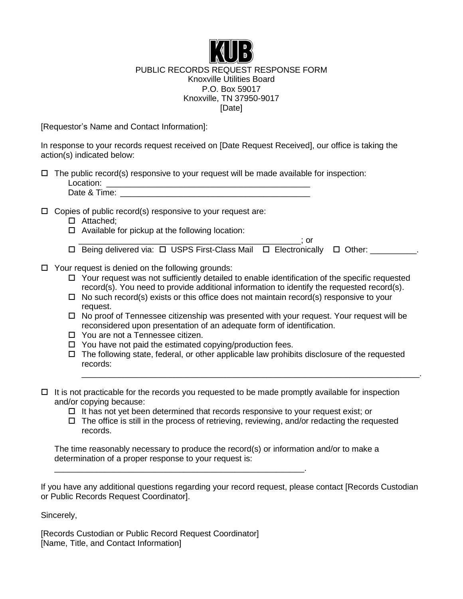

## PUBLIC RECORDS REQUEST RESPONSE FORM Knoxville Utilities Board P.O. Box 59017 Knoxville, TN 37950-9017 [Date]

[Requestor's Name and Contact Information]:

In response to your records request received on [Date Request Received], our office is taking the action(s) indicated below:

| $\Box$ The public record(s) responsive to your request will be made available for inspection: |
|-----------------------------------------------------------------------------------------------|
| Location:                                                                                     |
| Date & Time:                                                                                  |

 $\Box$  Copies of public record(s) responsive to your request are:

- □ Attached;
- $\Box$  Available for pickup at the following location:
- $\overline{\phantom{a}}$  ; or  $\square$  Being delivered via:  $\square$  USPS First-Class Mail  $\square$  Electronically  $\square$  Other: \_\_\_\_\_\_\_\_\_.
- $\Box$  Your request is denied on the following grounds:
	- $\Box$  Your request was not sufficiently detailed to enable identification of the specific requested record(s). You need to provide additional information to identify the requested record(s).
	- $\Box$  No such record(s) exists or this office does not maintain record(s) responsive to your request.
	- $\Box$  No proof of Tennessee citizenship was presented with your request. Your request will be reconsidered upon presentation of an adequate form of identification.
	- □ You are not a Tennessee citizen.
	- $\Box$  You have not paid the estimated copying/production fees.

\_\_\_\_\_\_\_\_\_\_\_\_\_\_\_\_\_\_\_\_\_\_\_\_\_\_\_\_\_\_\_\_\_\_\_\_\_\_\_\_\_\_\_\_\_\_\_\_\_\_\_\_\_\_.

 $\Box$  The following state, federal, or other applicable law prohibits disclosure of the requested records:

\_\_\_\_\_\_\_\_\_\_\_\_\_\_\_\_\_\_\_\_\_\_\_\_\_\_\_\_\_\_\_\_\_\_\_\_\_\_\_\_\_\_\_\_\_\_\_\_\_\_\_\_\_\_\_\_\_\_\_\_\_\_\_\_\_\_\_\_\_\_\_\_\_.

- $\Box$  It is not practicable for the records you requested to be made promptly available for inspection and/or copying because:
	- $\Box$  It has not yet been determined that records responsive to your request exist; or
	- $\Box$  The office is still in the process of retrieving, reviewing, and/or redacting the requested records.

The time reasonably necessary to produce the record(s) or information and/or to make a determination of a proper response to your request is:

If you have any additional questions regarding your record request, please contact [Records Custodian or Public Records Request Coordinator].

Sincerely,

[Records Custodian or Public Record Request Coordinator] [Name, Title, and Contact Information]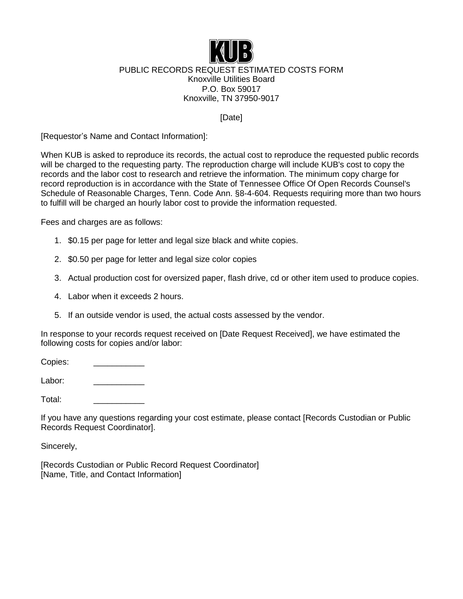

## PUBLIC RECORDS REQUEST ESTIMATED COSTS FORM Knoxville Utilities Board P.O. Box 59017 Knoxville, TN 37950-9017

[Date]

[Requestor's Name and Contact Information]:

When KUB is asked to reproduce its records, the actual cost to reproduce the requested public records will be charged to the requesting party. The reproduction charge will include KUB's cost to copy the records and the labor cost to research and retrieve the information. The minimum copy charge for record reproduction is in accordance with the State of Tennessee Office Of Open Records Counsel's Schedule of Reasonable Charges, Tenn. Code Ann. §8-4-604. Requests requiring more than two hours to fulfill will be charged an hourly labor cost to provide the information requested.

Fees and charges are as follows:

- 1. \$0.15 per page for letter and legal size black and white copies.
- 2. \$0.50 per page for letter and legal size color copies
- 3. Actual production cost for oversized paper, flash drive, cd or other item used to produce copies.
- 4. Labor when it exceeds 2 hours.
- 5. If an outside vendor is used, the actual costs assessed by the vendor.

In response to your records request received on [Date Request Received], we have estimated the following costs for copies and/or labor:

Copies: \_\_\_\_\_\_\_\_\_\_\_

Labor:

Total: \_\_\_\_\_\_\_\_\_\_\_

If you have any questions regarding your cost estimate, please contact [Records Custodian or Public Records Request Coordinator].

Sincerely,

[Records Custodian or Public Record Request Coordinator] [Name, Title, and Contact Information]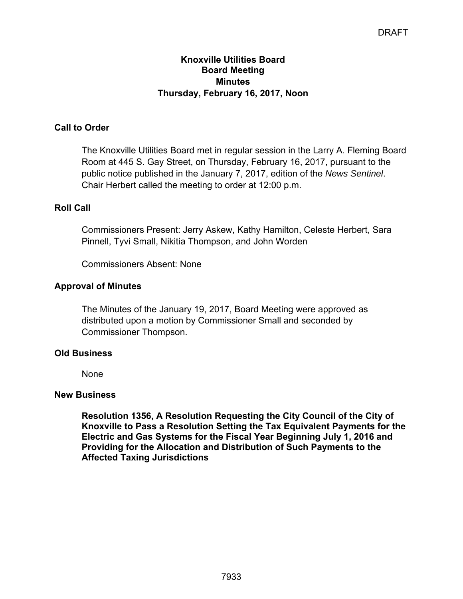## **Knoxville Utilities Board Board Meeting Minutes Thursday, February 16, 2017, Noon**

## **Call to Order**

The Knoxville Utilities Board met in regular session in the Larry A. Fleming Board Room at 445 S. Gay Street, on Thursday, February 16, 2017, pursuant to the public notice published in the January 7, 2017, edition of the *News Sentinel*. Chair Herbert called the meeting to order at 12:00 p.m.

## **Roll Call**

Commissioners Present: Jerry Askew, Kathy Hamilton, Celeste Herbert, Sara Pinnell, Tyvi Small, Nikitia Thompson, and John Worden

Commissioners Absent: None

## **Approval of Minutes**

The Minutes of the January 19, 2017, Board Meeting were approved as distributed upon a motion by Commissioner Small and seconded by Commissioner Thompson.

## **Old Business**

None

#### **New Business**

**Resolution 1356, A Resolution Requesting the City Council of the City of Knoxville to Pass a Resolution Setting the Tax Equivalent Payments for the Electric and Gas Systems for the Fiscal Year Beginning July 1, 2016 and Providing for the Allocation and Distribution of Such Payments to the Affected Taxing Jurisdictions**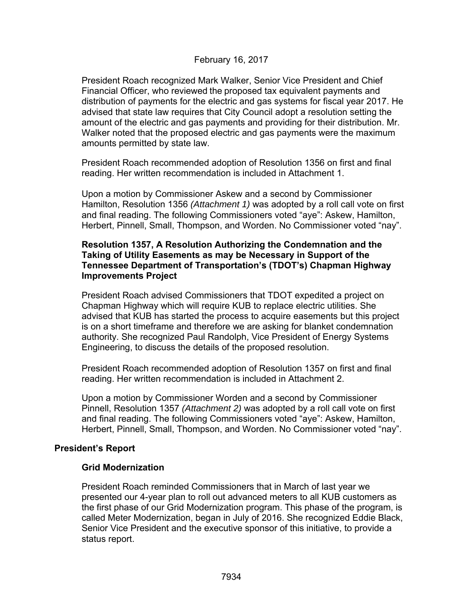## February 16, 2017

President Roach recognized Mark Walker, Senior Vice President and Chief Financial Officer, who reviewed the proposed tax equivalent payments and distribution of payments for the electric and gas systems for fiscal year 2017. He advised that state law requires that City Council adopt a resolution setting the amount of the electric and gas payments and providing for their distribution. Mr. Walker noted that the proposed electric and gas payments were the maximum amounts permitted by state law.

President Roach recommended adoption of Resolution 1356 on first and final reading. Her written recommendation is included in Attachment 1.

Upon a motion by Commissioner Askew and a second by Commissioner Hamilton, Resolution 1356 *(Attachment 1)* was adopted by a roll call vote on first and final reading. The following Commissioners voted "aye": Askew, Hamilton, Herbert, Pinnell, Small, Thompson, and Worden. No Commissioner voted "nay".

## **Resolution 1357, A Resolution Authorizing the Condemnation and the Taking of Utility Easements as may be Necessary in Support of the Tennessee Department of Transportation's (TDOT's) Chapman Highway Improvements Project**

President Roach advised Commissioners that TDOT expedited a project on Chapman Highway which will require KUB to replace electric utilities. She advised that KUB has started the process to acquire easements but this project is on a short timeframe and therefore we are asking for blanket condemnation authority. She recognized Paul Randolph, Vice President of Energy Systems Engineering, to discuss the details of the proposed resolution.

President Roach recommended adoption of Resolution 1357 on first and final reading. Her written recommendation is included in Attachment 2.

Upon a motion by Commissioner Worden and a second by Commissioner Pinnell, Resolution 1357 *(Attachment 2)* was adopted by a roll call vote on first and final reading. The following Commissioners voted "aye": Askew, Hamilton, Herbert, Pinnell, Small, Thompson, and Worden. No Commissioner voted "nay".

## **President's Report**

## **Grid Modernization**

President Roach reminded Commissioners that in March of last year we presented our 4-year plan to roll out advanced meters to all KUB customers as the first phase of our Grid Modernization program. This phase of the program, is called Meter Modernization, began in July of 2016. She recognized Eddie Black, Senior Vice President and the executive sponsor of this initiative, to provide a status report.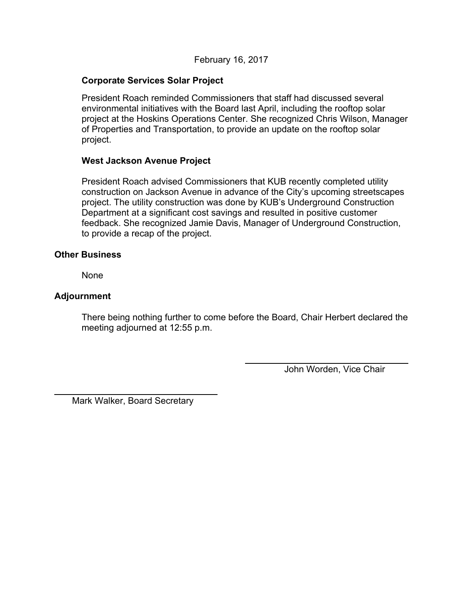## **Corporate Services Solar Project**

President Roach reminded Commissioners that staff had discussed several environmental initiatives with the Board last April, including the rooftop solar project at the Hoskins Operations Center. She recognized Chris Wilson, Manager of Properties and Transportation, to provide an update on the rooftop solar project.

## **West Jackson Avenue Project**

President Roach advised Commissioners that KUB recently completed utility construction on Jackson Avenue in advance of the City's upcoming streetscapes project. The utility construction was done by KUB's Underground Construction Department at a significant cost savings and resulted in positive customer feedback. She recognized Jamie Davis, Manager of Underground Construction, to provide a recap of the project.

#### **Other Business**

None

## **Adjournment**

l

There being nothing further to come before the Board, Chair Herbert declared the meeting adjourned at 12:55 p.m.

John Worden, Vice Chair

Mark Walker, Board Secretary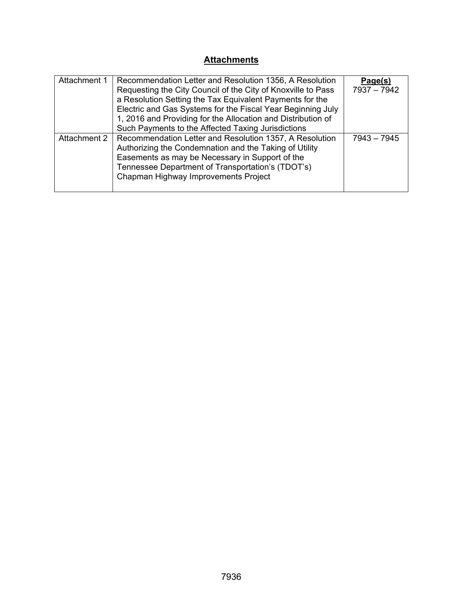# **Attachments**

| Attachment 1 | Recommendation Letter and Resolution 1356, A Resolution      | Page(s)       |
|--------------|--------------------------------------------------------------|---------------|
|              | Requesting the City Council of the City of Knoxville to Pass | 7937 - 7942   |
|              | a Resolution Setting the Tax Equivalent Payments for the     |               |
|              | Electric and Gas Systems for the Fiscal Year Beginning July  |               |
|              | 1, 2016 and Providing for the Allocation and Distribution of |               |
|              | Such Payments to the Affected Taxing Jurisdictions           |               |
| Attachment 2 | Recommendation Letter and Resolution 1357, A Resolution      | $7943 - 7945$ |
|              | Authorizing the Condemnation and the Taking of Utility       |               |
|              | Easements as may be Necessary in Support of the              |               |
|              | Tennessee Department of Transportation's (TDOT's)            |               |
|              | Chapman Highway Improvements Project                         |               |
|              |                                                              |               |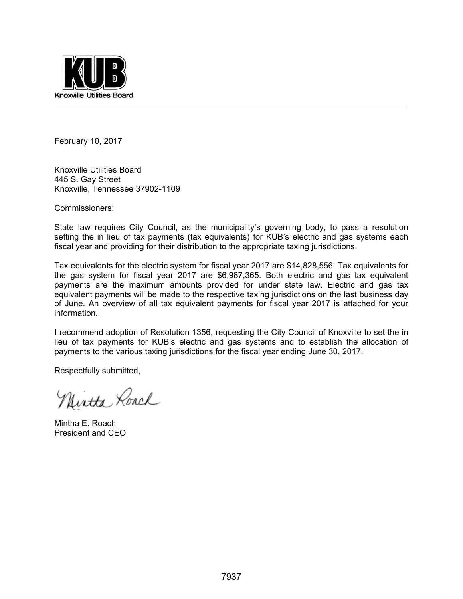

February 10, 2017

Knoxville Utilities Board 445 S. Gay Street Knoxville, Tennessee 37902-1109

Commissioners:

State law requires City Council, as the municipality's governing body, to pass a resolution setting the in lieu of tax payments (tax equivalents) for KUB's electric and gas systems each fiscal year and providing for their distribution to the appropriate taxing jurisdictions.

Tax equivalents for the electric system for fiscal year 2017 are \$14,828,556. Tax equivalents for the gas system for fiscal year 2017 are \$6,987,365. Both electric and gas tax equivalent payments are the maximum amounts provided for under state law. Electric and gas tax equivalent payments will be made to the respective taxing jurisdictions on the last business day of June. An overview of all tax equivalent payments for fiscal year 2017 is attached for your information.

I recommend adoption of Resolution 1356, requesting the City Council of Knoxville to set the in lieu of tax payments for KUB's electric and gas systems and to establish the allocation of payments to the various taxing jurisdictions for the fiscal year ending June 30, 2017.

Respectfully submitted,

Nintha Roach

Mintha E. Roach President and CEO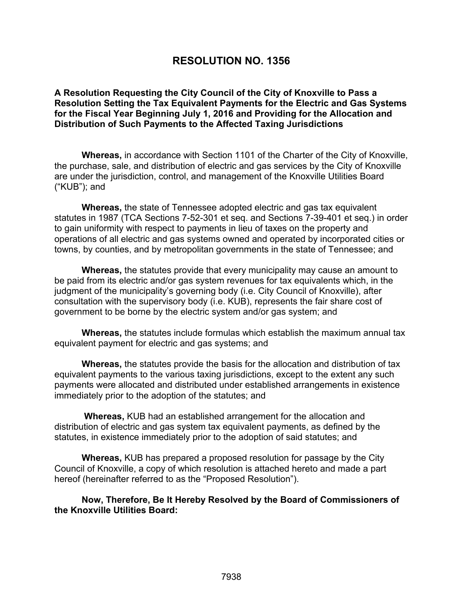# **RESOLUTION NO. 1356**

**A Resolution Requesting the City Council of the City of Knoxville to Pass a Resolution Setting the Tax Equivalent Payments for the Electric and Gas Systems for the Fiscal Year Beginning July 1, 2016 and Providing for the Allocation and Distribution of Such Payments to the Affected Taxing Jurisdictions** 

**Whereas,** in accordance with Section 1101 of the Charter of the City of Knoxville, the purchase, sale, and distribution of electric and gas services by the City of Knoxville are under the jurisdiction, control, and management of the Knoxville Utilities Board ("KUB"); and

**Whereas,** the state of Tennessee adopted electric and gas tax equivalent statutes in 1987 (TCA Sections 7-52-301 et seq. and Sections 7-39-401 et seq.) in order to gain uniformity with respect to payments in lieu of taxes on the property and operations of all electric and gas systems owned and operated by incorporated cities or towns, by counties, and by metropolitan governments in the state of Tennessee; and

**Whereas,** the statutes provide that every municipality may cause an amount to be paid from its electric and/or gas system revenues for tax equivalents which, in the judgment of the municipality's governing body (i.e. City Council of Knoxville), after consultation with the supervisory body (i.e. KUB), represents the fair share cost of government to be borne by the electric system and/or gas system; and

**Whereas,** the statutes include formulas which establish the maximum annual tax equivalent payment for electric and gas systems; and

**Whereas,** the statutes provide the basis for the allocation and distribution of tax equivalent payments to the various taxing jurisdictions, except to the extent any such payments were allocated and distributed under established arrangements in existence immediately prior to the adoption of the statutes; and

 **Whereas,** KUB had an established arrangement for the allocation and distribution of electric and gas system tax equivalent payments, as defined by the statutes, in existence immediately prior to the adoption of said statutes; and

**Whereas,** KUB has prepared a proposed resolution for passage by the City Council of Knoxville, a copy of which resolution is attached hereto and made a part hereof (hereinafter referred to as the "Proposed Resolution").

**Now, Therefore, Be It Hereby Resolved by the Board of Commissioners of the Knoxville Utilities Board:**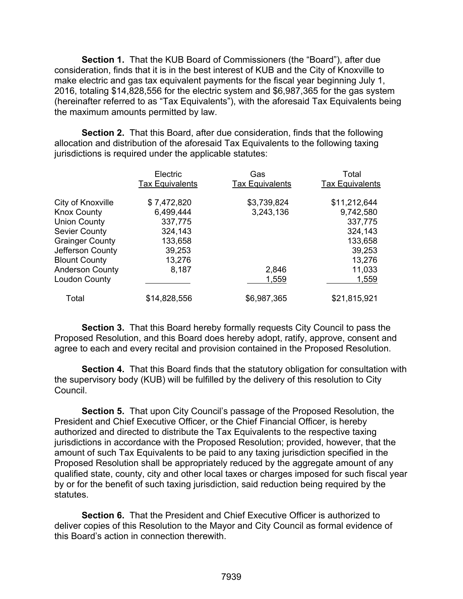**Section 1.** That the KUB Board of Commissioners (the "Board"), after due consideration, finds that it is in the best interest of KUB and the City of Knoxville to make electric and gas tax equivalent payments for the fiscal year beginning July 1, 2016, totaling \$14,828,556 for the electric system and \$6,987,365 for the gas system (hereinafter referred to as "Tax Equivalents"), with the aforesaid Tax Equivalents being the maximum amounts permitted by law.

**Section 2.** That this Board, after due consideration, finds that the following allocation and distribution of the aforesaid Tax Equivalents to the following taxing jurisdictions is required under the applicable statutes:

|                        | Electric<br><b>Tax Equivalents</b> | Gas<br><b>Tax Equivalents</b> | Total<br><b>Tax Equivalents</b> |
|------------------------|------------------------------------|-------------------------------|---------------------------------|
| City of Knoxville      | \$7,472,820                        | \$3,739,824                   | \$11,212,644                    |
| <b>Knox County</b>     | 6,499,444                          | 3,243,136                     | 9,742,580                       |
| <b>Union County</b>    | 337,775                            |                               | 337,775                         |
| <b>Sevier County</b>   | 324,143                            |                               | 324,143                         |
| <b>Grainger County</b> | 133,658                            |                               | 133,658                         |
| Jefferson County       | 39,253                             |                               | 39,253                          |
| <b>Blount County</b>   | 13,276                             |                               | 13,276                          |
| <b>Anderson County</b> | 8,187                              | 2,846                         | 11,033                          |
| Loudon County          |                                    | 1,559                         | 1,559                           |
| Total                  | \$14,828,556                       | \$6,987,365                   | \$21,815,921                    |

**Section 3.** That this Board hereby formally requests City Council to pass the Proposed Resolution, and this Board does hereby adopt, ratify, approve, consent and agree to each and every recital and provision contained in the Proposed Resolution.

**Section 4.** That this Board finds that the statutory obligation for consultation with the supervisory body (KUB) will be fulfilled by the delivery of this resolution to City Council.

 **Section 5.** That upon City Council's passage of the Proposed Resolution, the President and Chief Executive Officer, or the Chief Financial Officer, is hereby authorized and directed to distribute the Tax Equivalents to the respective taxing jurisdictions in accordance with the Proposed Resolution; provided, however, that the amount of such Tax Equivalents to be paid to any taxing jurisdiction specified in the Proposed Resolution shall be appropriately reduced by the aggregate amount of any qualified state, county, city and other local taxes or charges imposed for such fiscal year by or for the benefit of such taxing jurisdiction, said reduction being required by the statutes.

 **Section 6.** That the President and Chief Executive Officer is authorized to deliver copies of this Resolution to the Mayor and City Council as formal evidence of this Board's action in connection therewith.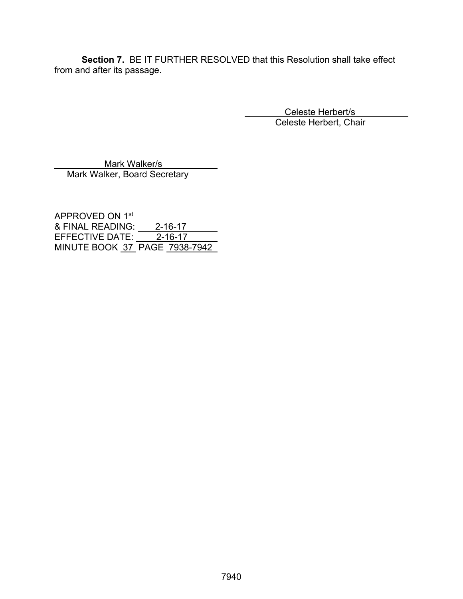**Section 7.** BE IT FURTHER RESOLVED that this Resolution shall take effect from and after its passage.

> Celeste Herbert/s Celeste Herbert, Chair

 Mark Walker/s Mark Walker, Board Secretary

APPROVED ON 1st & FINAL READING: <u>2-16-17</u> EFFECTIVE DATE: 2-16-17 MINUTE BOOK 37 PAGE 7938-7942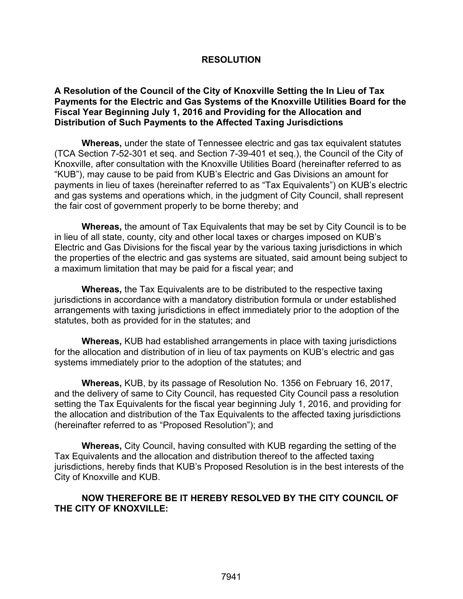## **RESOLUTION**

## **A Resolution of the Council of the City of Knoxville Setting the In Lieu of Tax Payments for the Electric and Gas Systems of the Knoxville Utilities Board for the Fiscal Year Beginning July 1, 2016 and Providing for the Allocation and Distribution of Such Payments to the Affected Taxing Jurisdictions**

**Whereas,** under the state of Tennessee electric and gas tax equivalent statutes (TCA Section 7-52-301 et seq. and Section 7-39-401 et seq.), the Council of the City of Knoxville, after consultation with the Knoxville Utilities Board (hereinafter referred to as "KUB"), may cause to be paid from KUB's Electric and Gas Divisions an amount for payments in lieu of taxes (hereinafter referred to as "Tax Equivalents") on KUB's electric and gas systems and operations which, in the judgment of City Council, shall represent the fair cost of government properly to be borne thereby; and

**Whereas,** the amount of Tax Equivalents that may be set by City Council is to be in lieu of all state, county, city and other local taxes or charges imposed on KUB's Electric and Gas Divisions for the fiscal year by the various taxing jurisdictions in which the properties of the electric and gas systems are situated, said amount being subject to a maximum limitation that may be paid for a fiscal year; and

**Whereas,** the Tax Equivalents are to be distributed to the respective taxing jurisdictions in accordance with a mandatory distribution formula or under established arrangements with taxing jurisdictions in effect immediately prior to the adoption of the statutes, both as provided for in the statutes; and

**Whereas,** KUB had established arrangements in place with taxing jurisdictions for the allocation and distribution of in lieu of tax payments on KUB's electric and gas systems immediately prior to the adoption of the statutes; and

**Whereas,** KUB, by its passage of Resolution No. 1356 on February 16, 2017, and the delivery of same to City Council, has requested City Council pass a resolution setting the Tax Equivalents for the fiscal year beginning July 1, 2016, and providing for the allocation and distribution of the Tax Equivalents to the affected taxing jurisdictions (hereinafter referred to as "Proposed Resolution"); and

**Whereas,** City Council, having consulted with KUB regarding the setting of the Tax Equivalents and the allocation and distribution thereof to the affected taxing jurisdictions, hereby finds that KUB's Proposed Resolution is in the best interests of the City of Knoxville and KUB.

## **NOW THEREFORE BE IT HEREBY RESOLVED BY THE CITY COUNCIL OF THE CITY OF KNOXVILLE:**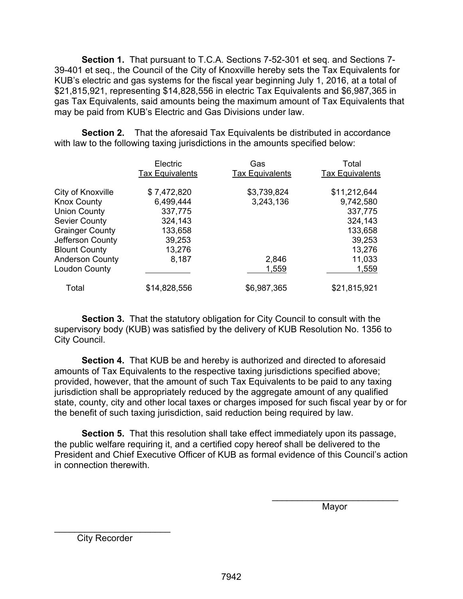**Section 1.** That pursuant to T.C.A. Sections 7-52-301 et seq. and Sections 7- 39-401 et seq., the Council of the City of Knoxville hereby sets the Tax Equivalents for KUB's electric and gas systems for the fiscal year beginning July 1, 2016, at a total of \$21,815,921, representing \$14,828,556 in electric Tax Equivalents and \$6,987,365 in gas Tax Equivalents, said amounts being the maximum amount of Tax Equivalents that may be paid from KUB's Electric and Gas Divisions under law.

**Section 2.** That the aforesaid Tax Equivalents be distributed in accordance with law to the following taxing jurisdictions in the amounts specified below:

|                        | Electric<br><b>Tax Equivalents</b> | Gas<br><b>Tax Equivalents</b> | Total<br><b>Tax Equivalents</b> |
|------------------------|------------------------------------|-------------------------------|---------------------------------|
| City of Knoxville      | \$7,472,820                        | \$3,739,824                   | \$11,212,644                    |
| <b>Knox County</b>     | 6,499,444                          | 3,243,136                     | 9,742,580                       |
| <b>Union County</b>    | 337,775                            |                               | 337,775                         |
| <b>Sevier County</b>   | 324,143                            |                               | 324,143                         |
| <b>Grainger County</b> | 133,658                            |                               | 133,658                         |
| Jefferson County       | 39,253                             |                               | 39,253                          |
| <b>Blount County</b>   | 13,276                             |                               | 13,276                          |
| <b>Anderson County</b> | 8,187                              | 2,846                         | 11,033                          |
| <b>Loudon County</b>   |                                    | 1,559                         | 1,559                           |
| Total                  | \$14,828,556                       | \$6,987,365                   | \$21,815,921                    |

**Section 3.** That the statutory obligation for City Council to consult with the supervisory body (KUB) was satisfied by the delivery of KUB Resolution No. 1356 to City Council.

 **Section 4.** That KUB be and hereby is authorized and directed to aforesaid amounts of Tax Equivalents to the respective taxing jurisdictions specified above; provided, however, that the amount of such Tax Equivalents to be paid to any taxing jurisdiction shall be appropriately reduced by the aggregate amount of any qualified state, county, city and other local taxes or charges imposed for such fiscal year by or for the benefit of such taxing jurisdiction, said reduction being required by law.

**Section 5.** That this resolution shall take effect immediately upon its passage, the public welfare requiring it, and a certified copy hereof shall be delivered to the President and Chief Executive Officer of KUB as formal evidence of this Council's action in connection therewith.

 $\overline{\phantom{a}}$  , and the contract of the contract of the contract of the contract of the contract of the contract of the contract of the contract of the contract of the contract of the contract of the contract of the contrac

where the contract of the contract of the Mayor Mayor

City Recorder

\_\_\_\_\_\_\_\_\_\_\_\_\_\_\_\_\_\_\_\_\_\_\_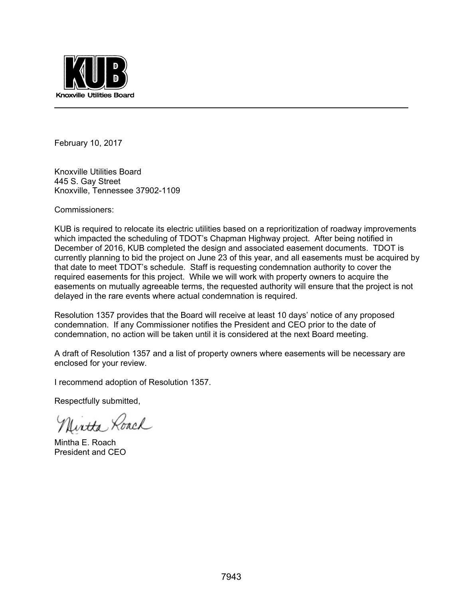

February 10, 2017

Knoxville Utilities Board 445 S. Gay Street Knoxville, Tennessee 37902-1109

Commissioners:

KUB is required to relocate its electric utilities based on a reprioritization of roadway improvements which impacted the scheduling of TDOT's Chapman Highway project. After being notified in December of 2016, KUB completed the design and associated easement documents. TDOT is currently planning to bid the project on June 23 of this year, and all easements must be acquired by that date to meet TDOT's schedule. Staff is requesting condemnation authority to cover the required easements for this project. While we will work with property owners to acquire the easements on mutually agreeable terms, the requested authority will ensure that the project is not delayed in the rare events where actual condemnation is required.

Resolution 1357 provides that the Board will receive at least 10 days' notice of any proposed condemnation. If any Commissioner notifies the President and CEO prior to the date of condemnation, no action will be taken until it is considered at the next Board meeting.

A draft of Resolution 1357 and a list of property owners where easements will be necessary are enclosed for your review.

I recommend adoption of Resolution 1357.

Respectfully submitted,

Uirtha Roach

Mintha E. Roach President and CEO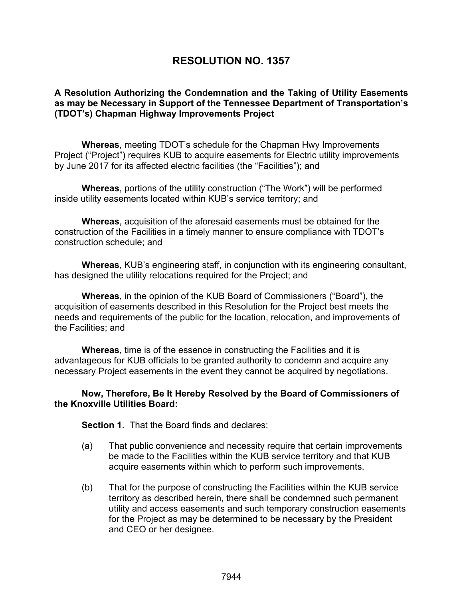# **RESOLUTION NO. 1357**

## **A Resolution Authorizing the Condemnation and the Taking of Utility Easements as may be Necessary in Support of the Tennessee Department of Transportation's (TDOT's) Chapman Highway Improvements Project**

**Whereas**, meeting TDOT's schedule for the Chapman Hwy Improvements Project ("Project") requires KUB to acquire easements for Electric utility improvements by June 2017 for its affected electric facilities (the "Facilities"); and

**Whereas**, portions of the utility construction ("The Work") will be performed inside utility easements located within KUB's service territory; and

**Whereas**, acquisition of the aforesaid easements must be obtained for the construction of the Facilities in a timely manner to ensure compliance with TDOT's construction schedule; and

**Whereas**, KUB's engineering staff, in conjunction with its engineering consultant, has designed the utility relocations required for the Project; and

**Whereas**, in the opinion of the KUB Board of Commissioners ("Board"), the acquisition of easements described in this Resolution for the Project best meets the needs and requirements of the public for the location, relocation, and improvements of the Facilities; and

**Whereas**, time is of the essence in constructing the Facilities and it is advantageous for KUB officials to be granted authority to condemn and acquire any necessary Project easements in the event they cannot be acquired by negotiations.

## **Now, Therefore, Be It Hereby Resolved by the Board of Commissioners of the Knoxville Utilities Board:**

**Section 1**. That the Board finds and declares:

- (a) That public convenience and necessity require that certain improvements be made to the Facilities within the KUB service territory and that KUB acquire easements within which to perform such improvements.
- (b) That for the purpose of constructing the Facilities within the KUB service territory as described herein, there shall be condemned such permanent utility and access easements and such temporary construction easements for the Project as may be determined to be necessary by the President and CEO or her designee.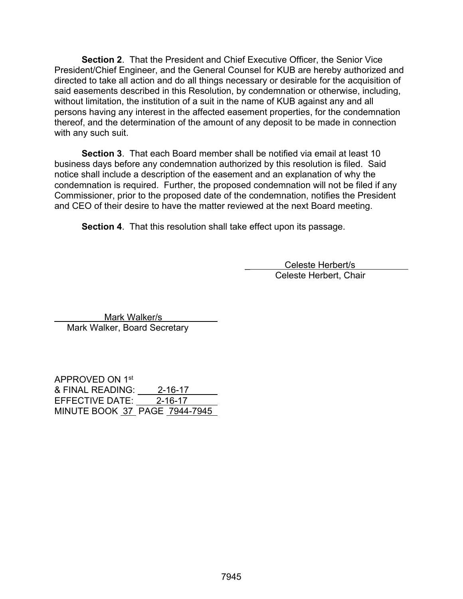**Section 2**. That the President and Chief Executive Officer, the Senior Vice President/Chief Engineer, and the General Counsel for KUB are hereby authorized and directed to take all action and do all things necessary or desirable for the acquisition of said easements described in this Resolution, by condemnation or otherwise, including, without limitation, the institution of a suit in the name of KUB against any and all persons having any interest in the affected easement properties, for the condemnation thereof, and the determination of the amount of any deposit to be made in connection with any such suit.

**Section 3**. That each Board member shall be notified via email at least 10 business days before any condemnation authorized by this resolution is filed. Said notice shall include a description of the easement and an explanation of why the condemnation is required. Further, the proposed condemnation will not be filed if any Commissioner, prior to the proposed date of the condemnation, notifies the President and CEO of their desire to have the matter reviewed at the next Board meeting.

**Section 4.** That this resolution shall take effect upon its passage.

\_ Celeste Herbert/s Celeste Herbert, Chair

 Mark Walker/s Mark Walker, Board Secretary

APPROVED ON 1st & FINAL READING: 2-16-17 EFFECTIVE DATE: 2-16-17 MINUTE BOOK 37 PAGE 7944-7945